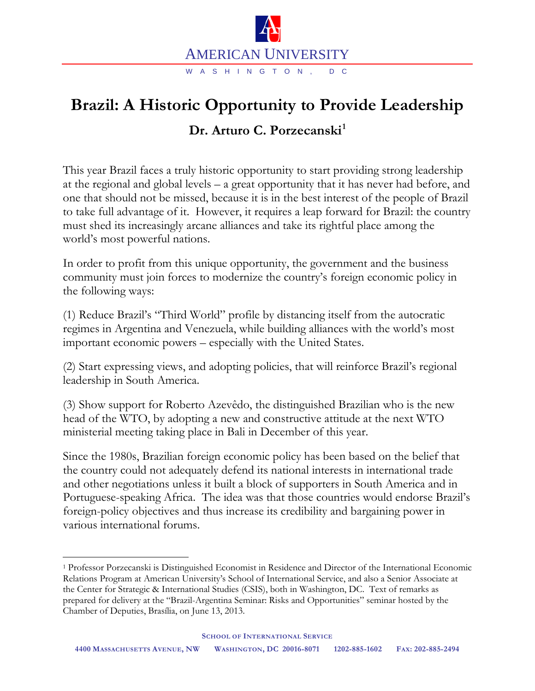

## **Brazil: A Historic Opportunity to Provide Leadership Dr. Arturo C. Porzecanski[1](#page-0-0)**

This year Brazil faces a truly historic opportunity to start providing strong leadership at the regional and global levels – a great opportunity that it has never had before, and one that should not be missed, because it is in the best interest of the people of Brazil to take full advantage of it. However, it requires a leap forward for Brazil: the country must shed its increasingly arcane alliances and take its rightful place among the world's most powerful nations.

In order to profit from this unique opportunity, the government and the business community must join forces to modernize the country's foreign economic policy in the following ways:

(1) Reduce Brazil's "Third World" profile by distancing itself from the autocratic regimes in Argentina and Venezuela, while building alliances with the world's most important economic powers – especially with the United States.

(2) Start expressing views, and adopting policies, that will reinforce Brazil's regional leadership in South America.

(3) Show support for Roberto Azevêdo, the distinguished Brazilian who is the new head of the WTO, by adopting a new and constructive attitude at the next WTO ministerial meeting taking place in Bali in December of this year.

Since the 1980s, Brazilian foreign economic policy has been based on the belief that the country could not adequately defend its national interests in international trade and other negotiations unless it built a block of supporters in South America and in Portuguese-speaking Africa. The idea was that those countries would endorse Brazil's foreign-policy objectives and thus increase its credibility and bargaining power in various international forums.

<span id="page-0-0"></span> <sup>1</sup> Professor Porzecanski is Distinguished Economist in Residence and Director of the International Economic Relations Program at American University's School of International Service, and also a Senior Associate at the Center for Strategic & International Studies (CSIS), both in Washington, DC. Text of remarks as prepared for delivery at the "Brazil-Argentina Seminar: Risks and Opportunities" seminar hosted by the Chamber of Deputies, Brasília, on June 13, 2013.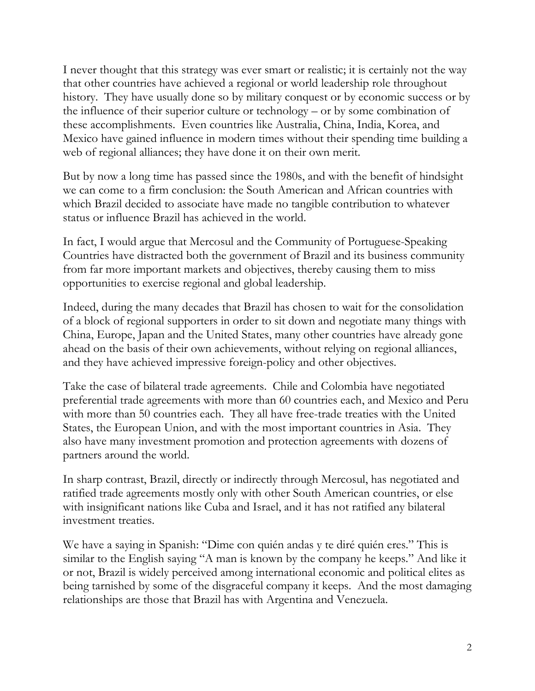I never thought that this strategy was ever smart or realistic; it is certainly not the way that other countries have achieved a regional or world leadership role throughout history. They have usually done so by military conquest or by economic success or by the influence of their superior culture or technology – or by some combination of these accomplishments. Even countries like Australia, China, India, Korea, and Mexico have gained influence in modern times without their spending time building a web of regional alliances; they have done it on their own merit.

But by now a long time has passed since the 1980s, and with the benefit of hindsight we can come to a firm conclusion: the South American and African countries with which Brazil decided to associate have made no tangible contribution to whatever status or influence Brazil has achieved in the world.

In fact, I would argue that Mercosul and the Community of Portuguese-Speaking Countries have distracted both the government of Brazil and its business community from far more important markets and objectives, thereby causing them to miss opportunities to exercise regional and global leadership.

Indeed, during the many decades that Brazil has chosen to wait for the consolidation of a block of regional supporters in order to sit down and negotiate many things with China, Europe, Japan and the United States, many other countries have already gone ahead on the basis of their own achievements, without relying on regional alliances, and they have achieved impressive foreign-policy and other objectives.

Take the case of bilateral trade agreements. Chile and Colombia have negotiated preferential trade agreements with more than 60 countries each, and Mexico and Peru with more than 50 countries each. They all have free-trade treaties with the United States, the European Union, and with the most important countries in Asia. They also have many investment promotion and protection agreements with dozens of partners around the world.

In sharp contrast, Brazil, directly or indirectly through Mercosul, has negotiated and ratified trade agreements mostly only with other South American countries, or else with insignificant nations like Cuba and Israel, and it has not ratified any bilateral investment treaties.

We have a saying in Spanish: "Dime con quién andas y te diré quién eres." This is similar to the English saying "A man is known by the company he keeps." And like it or not, Brazil is widely perceived among international economic and political elites as being tarnished by some of the disgraceful company it keeps. And the most damaging relationships are those that Brazil has with Argentina and Venezuela.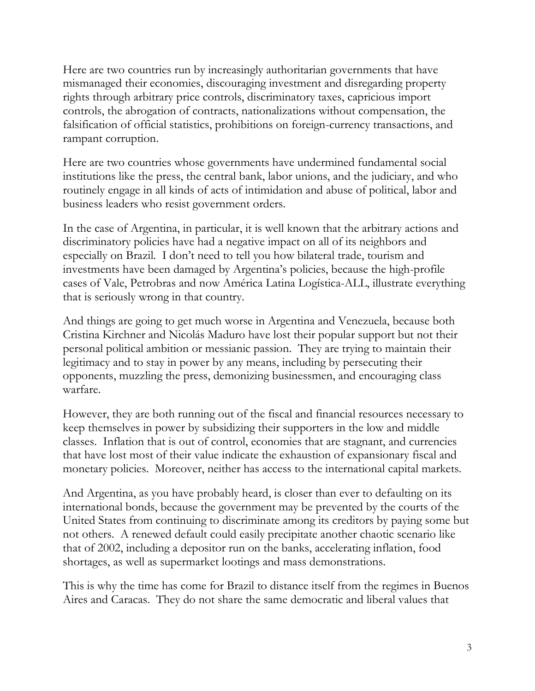Here are two countries run by increasingly authoritarian governments that have mismanaged their economies, discouraging investment and disregarding property rights through arbitrary price controls, discriminatory taxes, capricious import controls, the abrogation of contracts, nationalizations without compensation, the falsification of official statistics, prohibitions on foreign-currency transactions, and rampant corruption.

Here are two countries whose governments have undermined fundamental social institutions like the press, the central bank, labor unions, and the judiciary, and who routinely engage in all kinds of acts of intimidation and abuse of political, labor and business leaders who resist government orders.

In the case of Argentina, in particular, it is well known that the arbitrary actions and discriminatory policies have had a negative impact on all of its neighbors and especially on Brazil. I don't need to tell you how bilateral trade, tourism and investments have been damaged by Argentina's policies, because the high-profile cases of Vale, Petrobras and now América Latina Logística-ALL, illustrate everything that is seriously wrong in that country.

And things are going to get much worse in Argentina and Venezuela, because both Cristina Kirchner and Nicolás Maduro have lost their popular support but not their personal political ambition or messianic passion. They are trying to maintain their legitimacy and to stay in power by any means, including by persecuting their opponents, muzzling the press, demonizing businessmen, and encouraging class warfare.

However, they are both running out of the fiscal and financial resources necessary to keep themselves in power by subsidizing their supporters in the low and middle classes. Inflation that is out of control, economies that are stagnant, and currencies that have lost most of their value indicate the exhaustion of expansionary fiscal and monetary policies. Moreover, neither has access to the international capital markets.

And Argentina, as you have probably heard, is closer than ever to defaulting on its international bonds, because the government may be prevented by the courts of the United States from continuing to discriminate among its creditors by paying some but not others. A renewed default could easily precipitate another chaotic scenario like that of 2002, including a depositor run on the banks, accelerating inflation, food shortages, as well as supermarket lootings and mass demonstrations.

This is why the time has come for Brazil to distance itself from the regimes in Buenos Aires and Caracas. They do not share the same democratic and liberal values that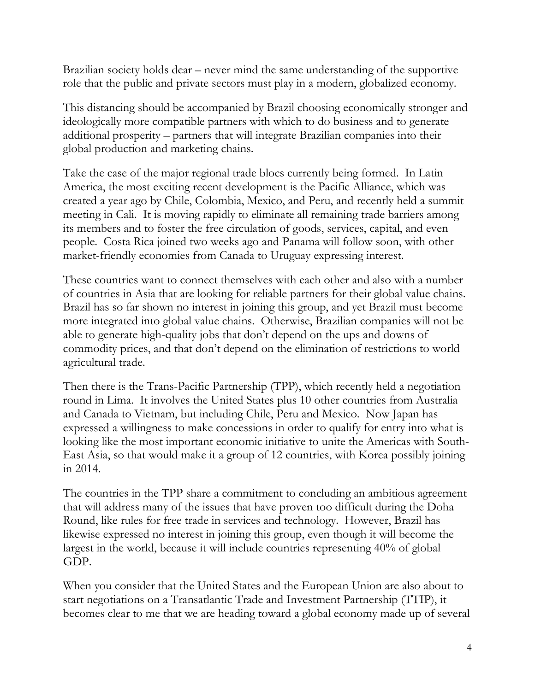Brazilian society holds dear – never mind the same understanding of the supportive role that the public and private sectors must play in a modern, globalized economy.

This distancing should be accompanied by Brazil choosing economically stronger and ideologically more compatible partners with which to do business and to generate additional prosperity – partners that will integrate Brazilian companies into their global production and marketing chains.

Take the case of the major regional trade blocs currently being formed. In Latin America, the most exciting recent development is the Pacific Alliance, which was created a year ago by Chile, Colombia, Mexico, and Peru, and recently held a summit meeting in Cali. It is moving rapidly to eliminate all remaining trade barriers among its members and to foster the free circulation of goods, services, capital, and even people. Costa Rica joined two weeks ago and Panama will follow soon, with other market-friendly economies from Canada to Uruguay expressing interest.

These countries want to connect themselves with each other and also with a number of countries in Asia that are looking for reliable partners for their global value chains. Brazil has so far shown no interest in joining this group, and yet Brazil must become more integrated into global value chains. Otherwise, Brazilian companies will not be able to generate high-quality jobs that don't depend on the ups and downs of commodity prices, and that don't depend on the elimination of restrictions to world agricultural trade.

Then there is the Trans-Pacific Partnership (TPP), which recently held a negotiation round in Lima. It involves the United States plus 10 other countries from Australia and Canada to Vietnam, but including Chile, Peru and Mexico. Now Japan has expressed a willingness to make concessions in order to qualify for entry into what is looking like the most important economic initiative to unite the Americas with South-East Asia, so that would make it a group of 12 countries, with Korea possibly joining in 2014.

The countries in the TPP share a commitment to concluding an ambitious agreement that will address many of the issues that have proven too difficult during the Doha Round, like rules for free trade in services and technology. However, Brazil has likewise expressed no interest in joining this group, even though it will become the largest in the world, because it will include countries representing 40% of global GDP.

When you consider that the United States and the European Union are also about to start negotiations on a Transatlantic Trade and Investment Partnership (TTIP), it becomes clear to me that we are heading toward a global economy made up of several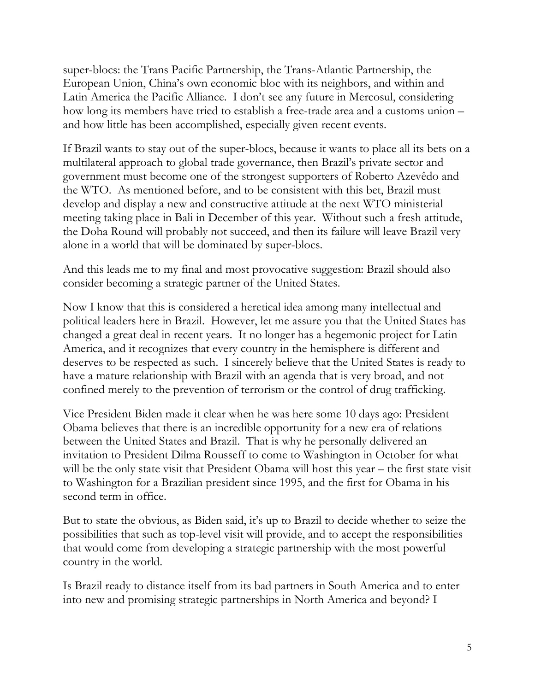super-blocs: the Trans Pacific Partnership, the Trans-Atlantic Partnership, the European Union, China's own economic bloc with its neighbors, and within and Latin America the Pacific Alliance. I don't see any future in Mercosul, considering how long its members have tried to establish a free-trade area and a customs union – and how little has been accomplished, especially given recent events.

If Brazil wants to stay out of the super-blocs, because it wants to place all its bets on a multilateral approach to global trade governance, then Brazil's private sector and government must become one of the strongest supporters of Roberto Azevêdo and the WTO. As mentioned before, and to be consistent with this bet, Brazil must develop and display a new and constructive attitude at the next WTO ministerial meeting taking place in Bali in December of this year. Without such a fresh attitude, the Doha Round will probably not succeed, and then its failure will leave Brazil very alone in a world that will be dominated by super-blocs.

And this leads me to my final and most provocative suggestion: Brazil should also consider becoming a strategic partner of the United States.

Now I know that this is considered a heretical idea among many intellectual and political leaders here in Brazil. However, let me assure you that the United States has changed a great deal in recent years. It no longer has a hegemonic project for Latin America, and it recognizes that every country in the hemisphere is different and deserves to be respected as such. I sincerely believe that the United States is ready to have a mature relationship with Brazil with an agenda that is very broad, and not confined merely to the prevention of terrorism or the control of drug trafficking.

Vice President Biden made it clear when he was here some 10 days ago: President Obama believes that there is an incredible opportunity for a new era of relations between the United States and Brazil. That is why he personally delivered an invitation to President Dilma Rousseff to come to Washington in October for what will be the only state visit that President Obama will host this year – the first state visit to Washington for a Brazilian president since 1995, and the first for Obama in his second term in office.

But to state the obvious, as Biden said, it's up to Brazil to decide whether to seize the possibilities that such as top-level visit will provide, and to accept the responsibilities that would come from developing a strategic partnership with the most powerful country in the world.

Is Brazil ready to distance itself from its bad partners in South America and to enter into new and promising strategic partnerships in North America and beyond? I